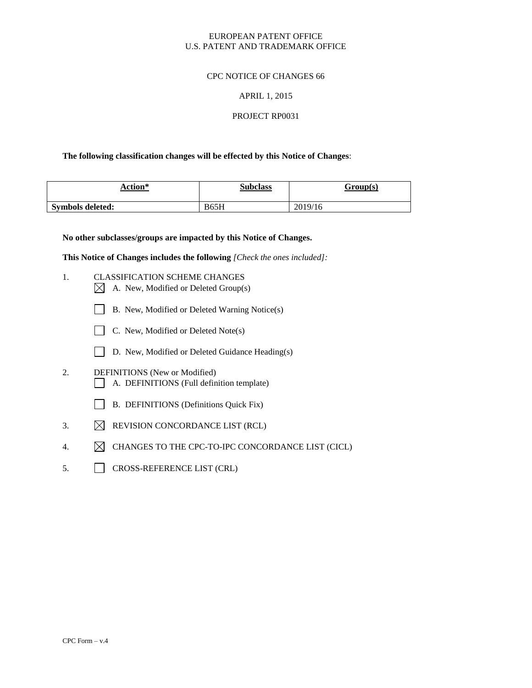# EUROPEAN PATENT OFFICE U.S. PATENT AND TRADEMARK OFFICE

#### CPC NOTICE OF CHANGES 66

#### APRIL 1, 2015

# PROJECT RP0031

#### **The following classification changes will be effected by this Notice of Changes**:

| Action*                 | <b>Subclass</b> | Group(s) |
|-------------------------|-----------------|----------|
| <b>Symbols deleted:</b> | <b>B65H</b>     | 2019/16  |

**No other subclasses/groups are impacted by this Notice of Changes.**

**This Notice of Changes includes the following** *[Check the ones included]:*

- 1. CLASSIFICATION SCHEME CHANGES
	- $\boxtimes$  A. New, Modified or Deleted Group(s)
	- B. New, Modified or Deleted Warning Notice(s)
	- C. New, Modified or Deleted Note(s)
	- D. New, Modified or Deleted Guidance Heading(s)
- 2. DEFINITIONS (New or Modified) A. DEFINITIONS (Full definition template)
	- B. DEFINITIONS (Definitions Quick Fix)
- 3.  $\boxtimes$  REVISION CONCORDANCE LIST (RCL)
- 4.  $\boxtimes$  CHANGES TO THE CPC-TO-IPC CONCORDANCE LIST (CICL)
- 5. CROSS-REFERENCE LIST (CRL)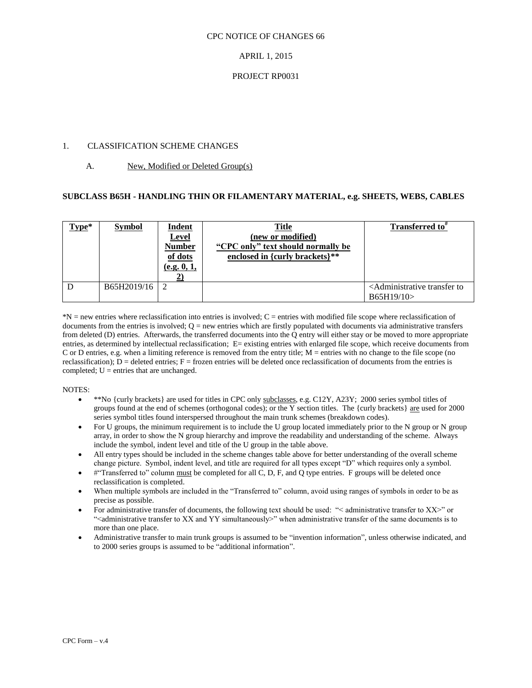#### CPC NOTICE OF CHANGES 66

# APRIL 1, 2015

#### PROJECT RP0031

# 1. CLASSIFICATION SCHEME CHANGES

# A. New, Modified or Deleted Group(s)

#### **SUBCLASS B65H - HANDLING THIN OR FILAMENTARY MATERIAL, e.g. SHEETS, WEBS, CABLES**

| Type* | <b>Symbol</b> | <b>Indent</b><br><b>Level</b><br><b>Number</b><br>of dots<br>(e.g. 0, 1, | <b>Title</b><br>(new or modified)<br>"CPC only" text should normally be<br>enclosed in {curly brackets}** | <b>Transferred to</b> "                                             |
|-------|---------------|--------------------------------------------------------------------------|-----------------------------------------------------------------------------------------------------------|---------------------------------------------------------------------|
| D     | B65H2019/16   |                                                                          |                                                                                                           | <administrative to<br="" transfer="">B65H19/10&gt;</administrative> |

\*N = new entries where reclassification into entries is involved; C = entries with modified file scope where reclassification of documents from the entries is involved;  $Q =$  new entries which are firstly populated with documents via administrative transfers from deleted (D) entries. Afterwards, the transferred documents into the Q entry will either stay or be moved to more appropriate entries, as determined by intellectual reclassification; E= existing entries with enlarged file scope, which receive documents from C or D entries, e.g. when a limiting reference is removed from the entry title; M = entries with no change to the file scope (no reclassification);  $D =$  deleted entries;  $F =$  frozen entries will be deleted once reclassification of documents from the entries is completed;  $U =$  entries that are unchanged.

#### NOTES:

- \*\*No {curly brackets} are used for titles in CPC only subclasses, e.g. C12Y, A23Y; 2000 series symbol titles of groups found at the end of schemes (orthogonal codes); or the Y section titles. The {curly brackets} are used for 2000 series symbol titles found interspersed throughout the main trunk schemes (breakdown codes).
- For U groups, the minimum requirement is to include the U group located immediately prior to the N group or N group array, in order to show the N group hierarchy and improve the readability and understanding of the scheme. Always include the symbol, indent level and title of the U group in the table above.
- All entry types should be included in the scheme changes table above for better understanding of the overall scheme change picture. Symbol, indent level, and title are required for all types except "D" which requires only a symbol.
- #"Transferred to" column must be completed for all C, D, F, and Q type entries. F groups will be deleted once reclassification is completed.
- When multiple symbols are included in the "Transferred to" column, avoid using ranges of symbols in order to be as precise as possible.
- For administrative transfer of documents, the following text should be used: "< administrative transfer to XX>" or "<administrative transfer to XX and YY simultaneously>" when administrative transfer of the same documents is to more than one place.
- Administrative transfer to main trunk groups is assumed to be "invention information", unless otherwise indicated, and to 2000 series groups is assumed to be "additional information".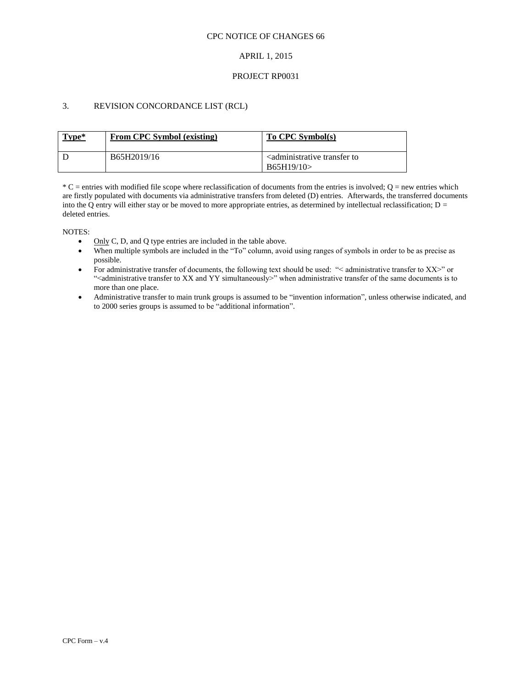#### CPC NOTICE OF CHANGES 66

# APRIL 1, 2015

#### PROJECT RP0031

# 3. REVISION CONCORDANCE LIST (RCL)

| Type* | From CPC Symbol (existing) | To CPC Symbol(s)                                                    |
|-------|----------------------------|---------------------------------------------------------------------|
|       | B65H2019/16                | <administrative to<br="" transfer="">B65H19/10&gt;</administrative> |

 $*C$  = entries with modified file scope where reclassification of documents from the entries is involved;  $Q$  = new entries which are firstly populated with documents via administrative transfers from deleted (D) entries. Afterwards, the transferred documents into the Q entry will either stay or be moved to more appropriate entries, as determined by intellectual reclassification;  $D =$ deleted entries.

NOTES:

- $\bullet$  Only C, D, and Q type entries are included in the table above.
- When multiple symbols are included in the "To" column, avoid using ranges of symbols in order to be as precise as possible.
- For administrative transfer of documents, the following text should be used: "< administrative transfer to XX>" or ">
"<administrative transfer to XX and YY simultaneously>" when administrative transfer of the same documents is to more than one place.
- Administrative transfer to main trunk groups is assumed to be "invention information", unless otherwise indicated, and to 2000 series groups is assumed to be "additional information".